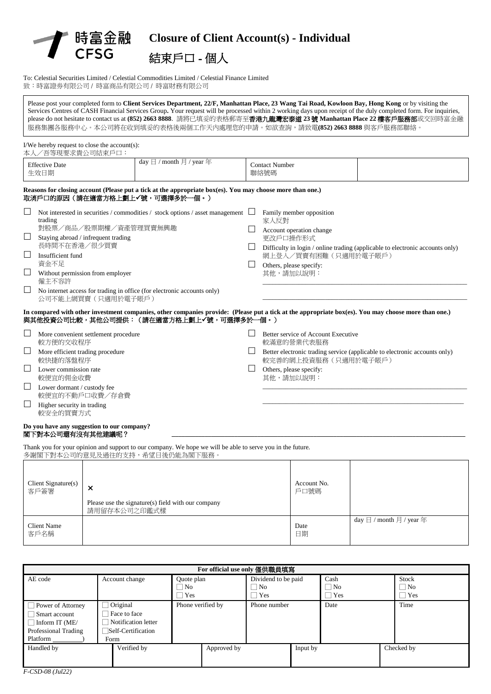



To: Celestial Securities Limited / Celestial Commodities Limited / Celestial Finance Limited 致:時富證劵有限公司 / 時富商品有限公司 / 時富財務有限公司

Please post your completed form to **Client Services Department, 22/F, Manhattan Place, 23 Wang Tai Road, Kowloon Bay, Hong Kong** or by visiting the Services Centres of CASH Financial Services Group**.** Your request will be processed within 2 working days upon receipt of the duly completed form. For inquiries, please do not hesitate to contact us at **(852) 2663 8888**. 請將已填妥的表格郵寄至香港九龍灣宏泰道 **23** 號 **Manhattan Place 22** 樓客戶服務部或交回時富金融 服務集團各服務中心。本公司將在收到填妥的表格後兩個工作天內處理您的申請。如欲查詢,請致電(852) 2663 8888 與客戶服務部聯絡。

### I/We hereby request to close the account(s):

| 本人/吾等現要求貴公司結束戶口:                                                                                                                                                                                                       |                                                                                                                                                                                                |              |                                                                                                                                          |                                                                               |
|------------------------------------------------------------------------------------------------------------------------------------------------------------------------------------------------------------------------|------------------------------------------------------------------------------------------------------------------------------------------------------------------------------------------------|--------------|------------------------------------------------------------------------------------------------------------------------------------------|-------------------------------------------------------------------------------|
| <b>Effective Date</b><br>生效日期                                                                                                                                                                                          | day $\boxminus$ / month $\boxminus$ / year $\oplus$                                                                                                                                            |              | <b>Contact Number</b><br>聯絡號碼                                                                                                            |                                                                               |
| 取消戶口的原因(請在適當方格上劃上✔號,可選擇多於一個。)                                                                                                                                                                                          | Reasons for closing account (Please put a tick at the appropriate box(es). You may choose more than one.)                                                                                      |              |                                                                                                                                          |                                                                               |
| trading<br>對股票/商品/股票期權/資產管理買賣無興趣<br>Staying abroad / infrequent trading<br>$\Box$<br>長時間不在香港/很少買賣<br>$\Box$<br>Insufficient fund<br>資金不足<br>$\Box$<br>Without permission from employer<br>僱主不容許<br>公司不能上網買賣 (只適用於電子賬戶) | Not interested in securities / commodities / stock options / asset management<br>No internet access for trading in office (for electronic accounts only)                                       | $\Box$       | Family member opposition<br>家人反對<br>Account operation change<br>更改戶口操作形式<br>網上登入/買賣有困難(只適用於電子賬戶)<br>Others, please specify:<br>其他,請加以說明: | Difficulty in login / online trading (applicable to electronic accounts only) |
|                                                                                                                                                                                                                        | In compared with other investment companies, other companies provide: (Please put a tick at the appropriate box(es). You may choose more than one.)<br>與其他投資公司比較,其他公司提供:(請在適當方格上劃上✔號,可選擇多於一個。) |              |                                                                                                                                          |                                                                               |
| More convenient settlement procedure<br>較方便的交收程序                                                                                                                                                                       |                                                                                                                                                                                                |              | Better service of Account Executive<br>較滿意的營業代表服務                                                                                        |                                                                               |
| More efficient trading procedure<br>$\Box$<br>較快捷的落盤程序                                                                                                                                                                 |                                                                                                                                                                                                |              | Better electronic trading service (applicable to electronic accounts only)<br>較完善的網上投資服務(只適用於電子賬戶)                                       |                                                                               |
| Lower commission rate<br>較便宜的佣金收費                                                                                                                                                                                      |                                                                                                                                                                                                | $\mathsf{L}$ | Others, please specify:<br>其他,請加以說明:                                                                                                     |                                                                               |
| Lower dormant / custody fee                                                                                                                                                                                            |                                                                                                                                                                                                |              |                                                                                                                                          |                                                                               |

- $\Box$  Lower dormant / custody fee 較便宜的不動戶口收費/存倉費
- $\Box$  Higher security in trading 較安全的買賣方式

#### **Do you have any suggestion to our company?** 閣下對本公司還有沒有其他建議呢?

Thank you for your opinion and support to our company. We hope we will be able to serve you in the future. 多謝閣下對本公司的意見及過往的支持,希望日後仍能為閣下服務。

| Client Signature(s)<br>客戶簽署 | $\times$<br>Please use the signature(s) field with our company<br>請用留存本公司之印鑑式樣 | Account No.<br>戶口號碼 |                                                     |
|-----------------------------|--------------------------------------------------------------------------------|---------------------|-----------------------------------------------------|
| <b>Client Name</b><br>客戶名稱  |                                                                                | Date<br>日期          | day $\boxminus$ / month $\boxminus$ / year $\oplus$ |

\_\_\_\_\_\_\_\_\_\_\_\_\_\_\_\_\_\_\_\_\_\_\_\_\_\_\_\_\_\_\_\_\_\_\_\_\_\_\_\_\_\_\_\_\_\_\_\_\_\_\_\_\_\_\_\_\_\_\_\_\_

| For official use only 僅供職員填寫                                                                           |                                                                               |                         |                             |                   |  |                    |
|--------------------------------------------------------------------------------------------------------|-------------------------------------------------------------------------------|-------------------------|-----------------------------|-------------------|--|--------------------|
| AE code                                                                                                | Account change                                                                | Quote plan<br>$\Box$ No | Dividend to be paid<br>  No | Cash<br>$\Box$ No |  | Stock<br>$\Box$ No |
|                                                                                                        |                                                                               | Yes                     | Yes                         | $\exists$ Yes     |  | Yes                |
| $\Box$ Power of Attorney<br>Smart account<br>$\Box$ Inform IT (ME/<br>Professional Trading<br>Platform | Original<br>Face to face<br>Notification letter<br>Self-Certification<br>Form | Phone verified by       | Phone number                | Date              |  | Time               |
| Handled by                                                                                             | Verified by                                                                   | Approved by             |                             | Input by          |  | Checked by         |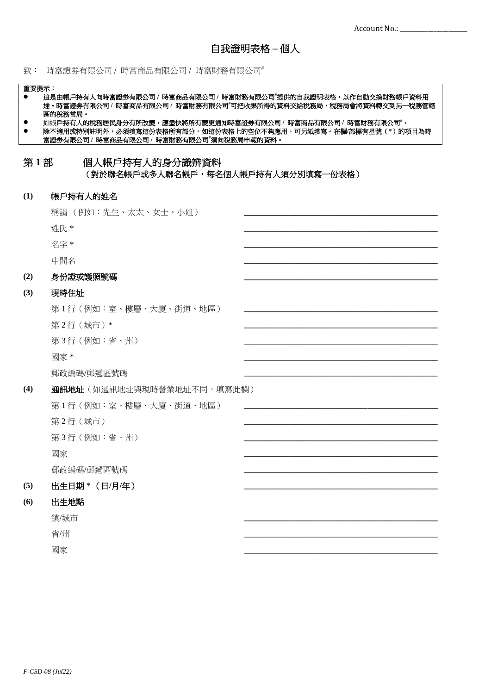致: 時富證券有限公司 / 時富商品有限公司 / 時富財務有限公司

#### 重要提示:

- 這是由帳戶持有人向時富證券有限公司 / 時富商品有限公司 / 時富財務有限公司"提供的自我證明表格,以作自動交換財務帳戶資料用 途。時富證劵有限公司 **/** 時富商品有限公司 **/** 時富財務有限公司**#**可把收集所得的資料交給稅務局,稅務局會將資料轉交到另一稅務管轄 區的稅務當局。
- 如帳戶持有人的稅務居民身分有所改變,應盡快將所有變更通知時富證券有限公司 / 時富商品有限公司 / 時富財務有限公司#。
- 除不適用或特別註明外,必須填寫這份表格所有部分。如這份表格上的空位不夠應用,可另紙填寫。在欄**/**部標有星號(**\***)的項目為時 富證劵有限公司 **/** 時富商品有限公司 **/** 時富財務有限公司**#**須向稅務局申報的資料。

## 第1部 個人帳戶持有人的身分識辨資料 (對於聯名帳戶或多人聯名帳戶,每名個人帳戶持有人須分別填寫一份表格)

#### **(1)** 帳戶持有人的姓名

|     | 稱謂(例如:先生、太太、女士、小姐)         |  |  |  |
|-----|----------------------------|--|--|--|
|     | 姓氏 *                       |  |  |  |
|     | 名字 *                       |  |  |  |
|     | 中間名                        |  |  |  |
| (2) | 身份證或護照號碼                   |  |  |  |
| (3) | 現時住址                       |  |  |  |
|     | 第1行(例如:室、樓層、大廈、街道、地區)      |  |  |  |
|     | 第2行(城市)*                   |  |  |  |
|     | 第3行(例如:省、州)                |  |  |  |
|     | 國家 *                       |  |  |  |
|     | 郵政編碼/郵遞區號碼                 |  |  |  |
| (4) | 通訊地址 (如通訊地址與現時營業地址不同,填寫此欄) |  |  |  |
|     | 第1行(例如:室、樓層、大廈、街道、地區)      |  |  |  |
|     | 第2行(城市)                    |  |  |  |
|     | 第3行(例如:省、州)                |  |  |  |
|     | 國家                         |  |  |  |
|     | 郵政編碼/郵遞區號碼                 |  |  |  |
| (5) | 出生日期 * (日/月/年)             |  |  |  |
| (6) | 出生地點                       |  |  |  |
|     | 鎮/城市                       |  |  |  |
|     | 省/州                        |  |  |  |
|     | 國家                         |  |  |  |